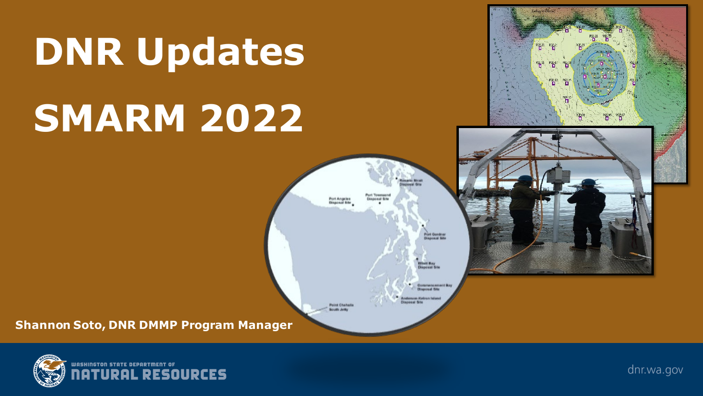# **DNR Updates SMARM 2022**

### **KEX PER** 皆" **URAFRI NITAE** Port Angeles<br>Disposal Site Port Gardner<br>Bisponal Site **Hinil Bay**<br>Sunnasi Sina **Commensament Bay** *<u><u>Insecreal</u>* Habs</u> ergers Hatron taken **Point Chefralls Booth Jetty Shannon Soto, DNR DMMP Program Manager**



dnr.wa.gov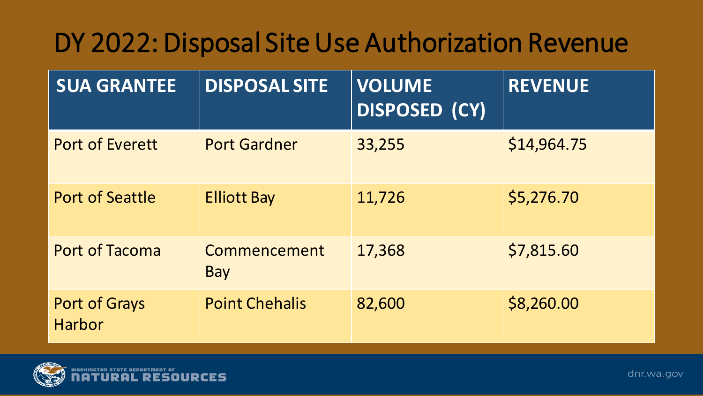# DY 2022: Disposal Site Use Authorization Revenue

| <b>SUA GRANTEE</b>      | <b>DISPOSAL SITE</b>  | <b>VOLUME</b><br>DISPOSED (CY) | <b>REVENUE</b> |
|-------------------------|-----------------------|--------------------------------|----------------|
| <b>Port of Everett</b>  | <b>Port Gardner</b>   | 33,255                         | \$14,964.75    |
| <b>Port of Seattle</b>  | <b>Elliott Bay</b>    | 11,726                         | \$5,276.70     |
| <b>Port of Tacoma</b>   | Commencement<br>Bay   | 17,368                         | \$7,815.60     |
| Port of Grays<br>Harbor | <b>Point Chehalis</b> | 82,600                         | \$8,260.00     |

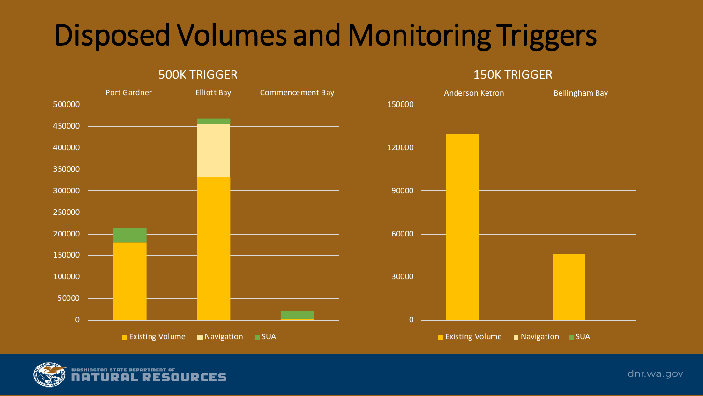# Disposed Volumes and Monitoring Triggers

150K TRIGGER





500K TRIGGER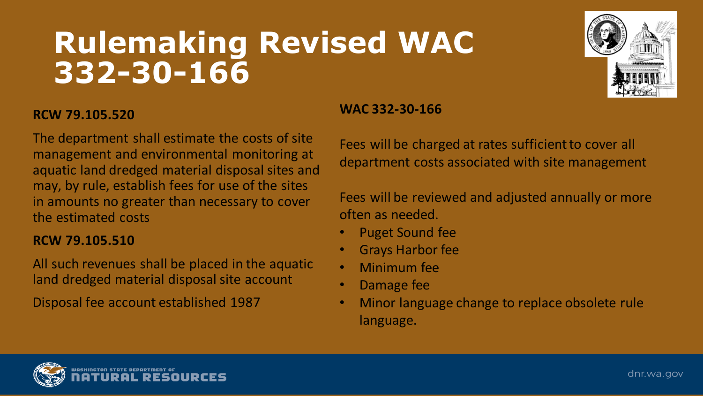# **Rulemaking Revised WAC 332-30-166**



#### **RCW 79.105.520**

The department shall estimate the costs of site management and environmental monitoring at aquatic land dredged material disposal sites and may, by rule, establish fees for use of the sites in amounts no greater than necessary to cover the estimated costs

#### **RCW 79.105.510**

All such revenues shall be placed in the aquatic land dredged material disposal site account

Disposal fee account established 1987

#### **WAC 332-30-166**

Fees will be charged at rates sufficient to cover all department costs associated with site management

Fees will be reviewed and adjusted annually or more often as needed.

- Puget Sound fee
- Grays Harbor fee
- Minimum fee
- Damage fee
- Minor language change to replace obsolete rule language.

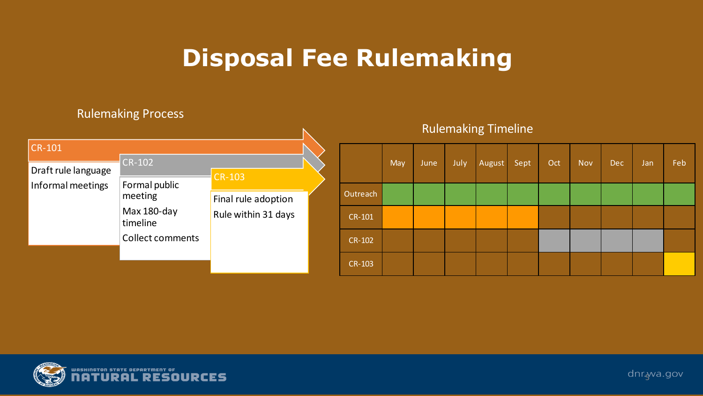# **Disposal Fee Rulemaking**

#### Rulemaking Process

|                     |                          |                     |          |            |      |      | <b>Rulemaking Timeline</b> |      |     |            |            |     |     |
|---------------------|--------------------------|---------------------|----------|------------|------|------|----------------------------|------|-----|------------|------------|-----|-----|
| $CR-101$            |                          |                     |          |            |      |      |                            |      |     |            |            |     |     |
| Draft rule language | $CR-102$                 | <b>CR-103</b>       |          | <b>May</b> | June | July | August                     | Sept | Oct | <b>Nov</b> | <b>Dec</b> | Jan | Feb |
| Informal meetings   | Formal public<br>meeting | Final rule adoption | Outreach |            |      |      |                            |      |     |            |            |     |     |
|                     | Max 180-day<br>timeline  | Rule within 31 days | CR-101   |            |      |      |                            |      |     |            |            |     |     |
|                     | <b>Collect comments</b>  |                     | CR-102   |            |      |      |                            |      |     |            |            |     |     |
|                     |                          |                     | CR-103   |            |      |      |                            |      |     |            |            |     |     |



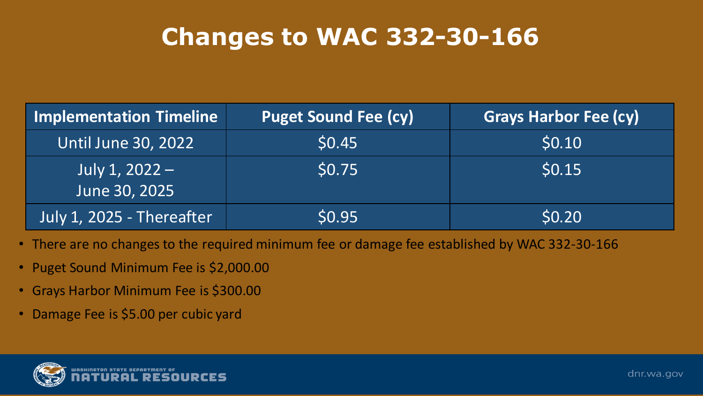# **Changes to WAC 332-30-166**

| <b>Implementation Timeline</b>  | <b>Puget Sound Fee (cy)</b> | <b>Grays Harbor Fee (cy)</b> |
|---------------------------------|-----------------------------|------------------------------|
| <b>Until June 30, 2022</b>      | \$0.45                      | \$0.10                       |
| July 1, 2022 -<br>June 30, 2025 | \$0.75                      | \$0.15                       |
| July 1, 2025 - Thereafter       | \$0.95                      | \$0.20                       |

- There are no changes to the required minimum fee or damage fee established by WAC 332-30-166
- Puget Sound Minimum Fee is \$2,000.00
- Grays Harbor Minimum Fee is \$300.00
- Damage Fee is \$5.00 per cubic yard

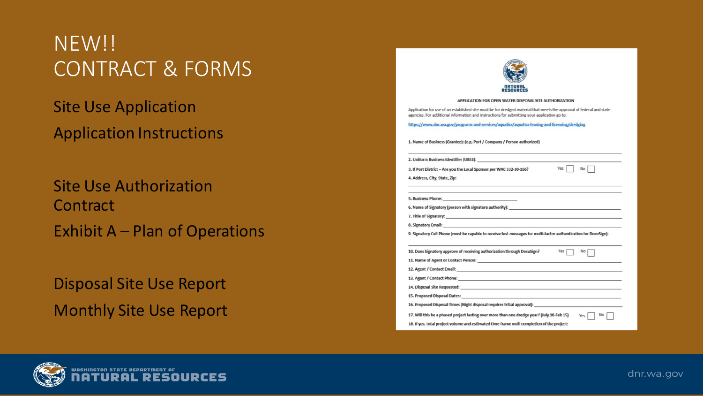### NEW!! CONTRACT & FORMS

Site Use Application Application Instructions

Site Use Authorization **Contract** Exhibit A – Plan of Operations

Disposal Site Use Report Monthly Site Use Report

| APPLICATION FOR OPEN WATER DISPOSAL SITE AUTHORIZATION                                                                                                                                                                         |              |
|--------------------------------------------------------------------------------------------------------------------------------------------------------------------------------------------------------------------------------|--------------|
| Application for use of an established site must be for dredged material that meets the approval of federal and state<br>agencies. For additional information and instructions for submitting your application go to:           |              |
| https://www.dnr.wa.gov/programs-and-services/aquatics/aquatics-leasing-and-licensing/dredging                                                                                                                                  |              |
| 1. Name of Business (Grantee): (e.g. Port / Company / Person authorized)                                                                                                                                                       |              |
|                                                                                                                                                                                                                                |              |
| 3. If Port District - Are you the Local Sponsor per WAC 332-30-166?                                                                                                                                                            | Yes  <br>No. |
| 4. Address, City, State, Zip:                                                                                                                                                                                                  |              |
|                                                                                                                                                                                                                                |              |
| 6. Name of Signatory (person with signature authority):                                                                                                                                                                        |              |
| 7. Title of Signatory: The contract of the contract of the contract of the contract of the contract of the contract of the contract of the contract of the contract of the contract of the contract of the contract of the con |              |
| 8. Signatory Email: The Contract of the Contract of the Contract of the Contract of the Contract of the Contract of the Contract of the Contract of the Contract of the Contract of the Contract of the Contract of the Contra |              |
| 9. Signatory Cell Phone (must be capable to receive test messages for multi-factor authentication for DocuSign):                                                                                                               |              |
| 10. Does Signatory approve of receiving authorization through DocuSign?                                                                                                                                                        | Yes<br>No.   |
| 11. Name of Agent or Contact Person: New York Contact Persons                                                                                                                                                                  |              |
| 12. Agent / Contact Email:                                                                                                                                                                                                     |              |
|                                                                                                                                                                                                                                |              |
|                                                                                                                                                                                                                                |              |
|                                                                                                                                                                                                                                |              |
| 15. Proposed Disposal Dates: North American Contract of the American Contract of the American Contract of the                                                                                                                  |              |
| 16. Proposed Disposal Times (Night disposal requires tribal approval):                                                                                                                                                         |              |
| 17. Will this be a phased project lasting over more than one dredge year? (July 16-Feb 15)                                                                                                                                     | No<br>Yes    |